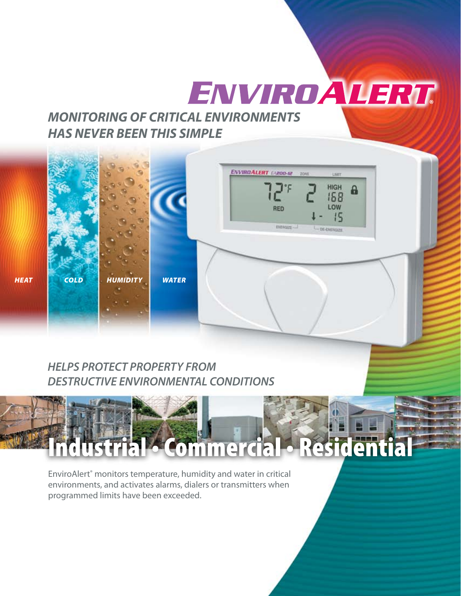# ENVIROALERT

## *MONITORING OF CRITICAL ENVIRONMENTS HAS NEVER BEEN THIS SIMPLE*



## *HELPS PROTECT PROPERTY FROM DESTRUCTIVE ENVIRONMENTAL CONDITIONS*

## Residentia **Commercial**

EnviroAlert® monitors temperature, humidity and water in critical environments, and activates alarms, dialers or transmitters when programmed limits have been exceeded.